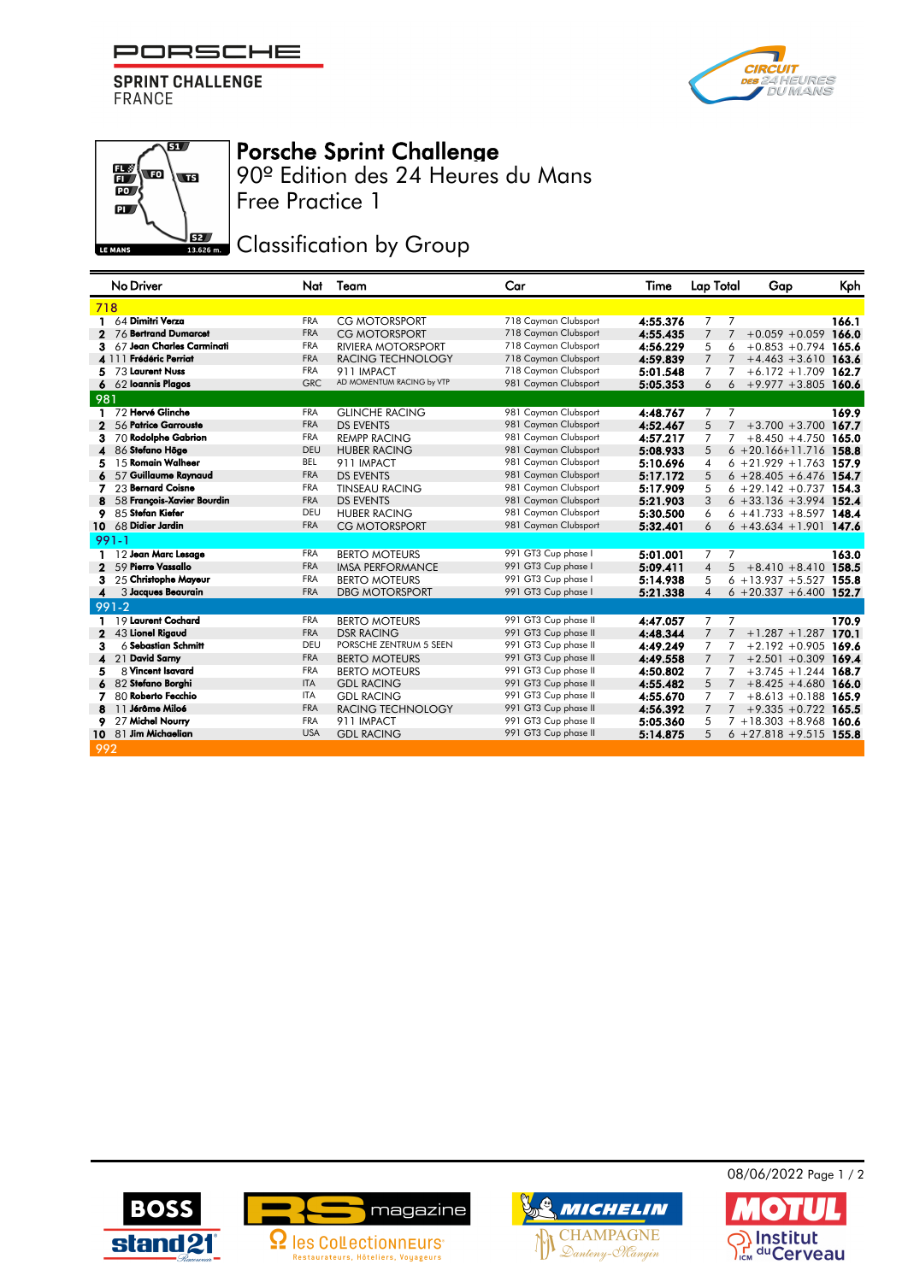PORSCHE

**SPRINT CHALLENGE FRANCE** 





## Porsche Sprint Challenge

Free Practice 1 90º Edition des 24 Heures du Mans

**JEZ Classification by Group** 

|                        | No Driver                  | Nat        | Team                      | Car                  | Time     | Lap Total                        | Gap                         | Kph   |
|------------------------|----------------------------|------------|---------------------------|----------------------|----------|----------------------------------|-----------------------------|-------|
| 718                    |                            |            |                           |                      |          |                                  |                             |       |
| 1                      | 64 Dimitri Verza           | <b>FRA</b> | <b>CG MOTORSPORT</b>      | 718 Cayman Clubsport | 4:55.376 | 7<br>7                           |                             | 166.1 |
| 2                      | 76 Bertrand Dumarcet       | <b>FRA</b> | CG MOTORSPORT             | 718 Cayman Clubsport | 4:55.435 | 7                                | $+0.059 + 0.059$            | 166.0 |
| 3                      | 67 Jean Charles Carminati  | <b>FRA</b> | <b>RIVIERA MOTORSPORT</b> | 718 Cayman Clubsport | 4:56.229 | 5<br>6                           | $+0.853 +0.794$ 165.6       |       |
|                        | <b>Frédéric Perriat</b>    | <b>FRA</b> | RACING TECHNOLOGY         | 718 Cayman Clubsport | 4:59.839 | 7                                | $+4.463 +3.610$ 163.6       |       |
|                        | 73 Laurent Nuss            | <b>FRA</b> | 911 IMPACT                | 718 Cayman Clubsport | 5:01.548 | 7                                | $+6.172 + 1.709$ 162.7      |       |
|                        | 62 Ioannis Plagos          | <b>GRC</b> | AD MOMENTUM RACING by VTP | 981 Cayman Clubsport | 5:05.353 | 6                                | $+9.977 +3.805$ 160.6       |       |
| 981                    |                            |            |                           |                      |          |                                  |                             |       |
| п.                     | 72 Hervé Glinche           | <b>FRA</b> | <b>GLINCHE RACING</b>     | 981 Cayman Clubsport | 4:48.767 | 7<br>7                           |                             | 169.9 |
|                        | 56 Patrice Garrouste       | <b>FRA</b> | <b>DS EVENTS</b>          | 981 Cayman Clubsport | 4:52.467 | 5<br>$7^{\circ}$                 | $+3.700 + 3.700$ 167.7      |       |
| з                      | 70 Rodolphe Gabrion        | <b>FRA</b> | <b>REMPP RACING</b>       | 981 Cayman Clubsport | 4:57.217 | 7<br>7                           | $+8.450 + 4.750$ 165.0      |       |
|                        | 86 Stefano Höge            | DEU        | <b>HUBER RACING</b>       | 981 Cayman Clubsport | 5:08.933 | 5                                | $6 + 20.166 + 11.716$ 158.8 |       |
| 5                      | 15 Romain Walheer          | <b>BEL</b> | 911 IMPACT                | 981 Cayman Clubsport | 5:10.696 | $\overline{4}$                   | $6 + 21.929 + 1.763$ 157.9  |       |
|                        | 57 Guillaume Raynaud       | <b>FRA</b> | <b>DS EVENTS</b>          | 981 Cayman Clubsport | 5:17.172 | 5                                | $6 + 28.405 + 6.476$ 154.7  |       |
| 7                      | 23 Bernard Coisne          | <b>FRA</b> | <b>TINSEAU RACING</b>     | 981 Cayman Clubsport | 5:17.909 | 5                                | $6 + 29.142 + 0.737$ 154.3  |       |
|                        | 58 Francois-Xavier Bourdin | <b>FRA</b> | <b>DS EVENTS</b>          | 981 Cayman Clubsport | 5:21.903 | 3                                | $6 + 33.136 + 3.994$ 152.4  |       |
| 9                      | 85 Stefan Kiefer           | DEU        | <b>HUBER RACING</b>       | 981 Cayman Clubsport | 5:30.500 | 6                                | $6 + 41.733 + 8.597$ 148.4  |       |
| 10                     | 68 Didier Jardin           | <b>FRA</b> | <b>CG MOTORSPORT</b>      | 981 Cayman Clubsport | 5:32.401 | 6                                | $6 + 43.634 + 1.901$ 147.6  |       |
|                        | $991 - 1$                  |            |                           |                      |          |                                  |                             |       |
|                        | 12 Jean Marc Lesage        | <b>FRA</b> | <b>BERTO MOTEURS</b>      | 991 GT3 Cup phase I  | 5:01.001 | $\overline{7}$<br>7              |                             | 163.0 |
| $\mathbf{2}$           | 59 Pierre Vassallo         | <b>FRA</b> | <b>IMSA PERFORMANCE</b>   | 991 GT3 Cup phase I  | 5:09.411 | $\overline{4}$                   | $5 + 8.410 + 8.410$ 158.5   |       |
| з                      | 25 Christophe Mayeur       | <b>FRA</b> | <b>BERTO MOTEURS</b>      | 991 GT3 Cup phase I  | 5:14.938 | 5                                | $6 + 13.937 + 5.527$ 155.8  |       |
| $\boldsymbol{\Lambda}$ | 3 Jacques Beaurain         | <b>FRA</b> | <b>DBG MOTORSPORT</b>     | 991 GT3 Cup phase I  | 5:21.338 | $\overline{4}$                   | $6 + 20.337 + 6.400$ 152.7  |       |
|                        | $991 - 2$                  |            |                           |                      |          |                                  |                             |       |
|                        | 19 Laurent Cochard         | <b>FRA</b> | <b>BERTO MOTEURS</b>      | 991 GT3 Cup phase II | 4:47.057 | $\overline{7}$<br>7              |                             | 170.9 |
| 2                      | 43 Lionel Rigaud           | <b>FRA</b> | <b>DSR RACING</b>         | 991 GT3 Cup phase II | 4:48.344 | $\overline{7}$<br>$\overline{7}$ | $+1.287 + 1.287$            | 170.1 |
| з                      | $6$ Sebastian Schmitt      | DEU        | PORSCHE ZENTRUM 5 SEEN    | 991 GT3 Cup phase II | 4:49.249 | 7                                | $+2.192 + 0.905$ 169.6      |       |
| 4                      | 21 David Samy              | <b>FRA</b> | <b>BERTO MOTEURS</b>      | 991 GT3 Cup phase II | 4:49.558 | 7                                | $+2.501 + 0.309$ 169.4      |       |
| 5                      | 8 Vincent Isavard          | <b>FRA</b> | <b>BERTO MOTEURS</b>      | 991 GT3 Cup phase II | 4:50.802 | $\overline{7}$<br>7              | $+3.745 + 1.244$ 168.7      |       |
| 6                      | 82 Stefano Borghi          | <b>ITA</b> | <b>GDL RACING</b>         | 991 GT3 Cup phase II | 4:55.482 | 5                                | $+8.425 + 4.680$ 166.0      |       |
| 7                      | 80 Roberto Fecchio         | <b>ITA</b> | <b>GDL RACING</b>         | 991 GT3 Cup phase II | 4:55.670 | 7                                | $+8.613 + 0.188$ 165.9      |       |
| 8                      | 11 <b>Jérôme Miloé</b>     | <b>FRA</b> | <b>RACING TECHNOLOGY</b>  | 991 GT3 Cup phase II | 4:56.392 | $\overline{7}$<br>$7^{\circ}$    | $+9.335 + 0.722$ 165.5      |       |
| 9                      | 27 Michel Nourry           | <b>FRA</b> | 911 IMPACT                | 991 GT3 Cup phase II | 5:05.360 | 5                                | $7 + 18.303 + 8.968$ 160.6  |       |
|                        | 10 81 Jim Michaelian       | <b>USA</b> | <b>GDL RACING</b>         | 991 GT3 Cup phase II | 5:14.875 | 5                                | $6 + 27.818 + 9.515$ 155.8  |       |
| 992                    |                            |            |                           |                      |          |                                  |                             |       |